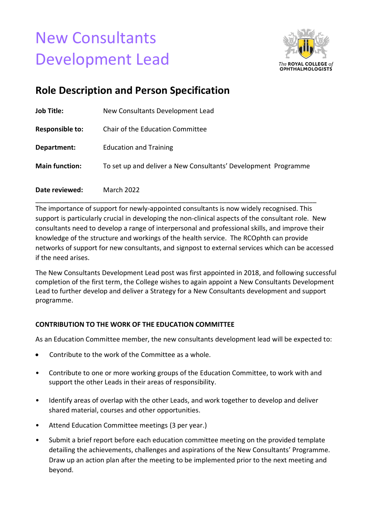# New Consultants Development Lead



## **Role Description and Person Specification**

| Date reviewed:         | <b>March 2022</b>                                              |
|------------------------|----------------------------------------------------------------|
| <b>Main function:</b>  | To set up and deliver a New Consultants' Development Programme |
| Department:            | <b>Education and Training</b>                                  |
| <b>Responsible to:</b> | Chair of the Education Committee                               |
| <b>Job Title:</b>      | New Consultants Development Lead                               |

The importance of support for newly-appointed consultants is now widely recognised. This support is particularly crucial in developing the non-clinical aspects of the consultant role. New consultants need to develop a range of interpersonal and professional skills, and improve their knowledge of the structure and workings of the health service. The RCOphth can provide networks of support for new consultants, and signpost to external services which can be accessed if the need arises.

The New Consultants Development Lead post was first appointed in 2018, and following successful completion of the first term, the College wishes to again appoint a New Consultants Development Lead to further develop and deliver a Strategy for a New Consultants development and support programme.

### **CONTRIBUTION TO THE WORK OF THE EDUCATION COMMITTEE**

As an Education Committee member, the new consultants development lead will be expected to:

- Contribute to the work of the Committee as a whole.
- Contribute to one or more working groups of the Education Committee, to work with and support the other Leads in their areas of responsibility.
- Identify areas of overlap with the other Leads, and work together to develop and deliver shared material, courses and other opportunities.
- Attend Education Committee meetings (3 per year.)
- Submit a brief report before each education committee meeting on the provided template detailing the achievements, challenges and aspirations of the New Consultants' Programme. Draw up an action plan after the meeting to be implemented prior to the next meeting and beyond.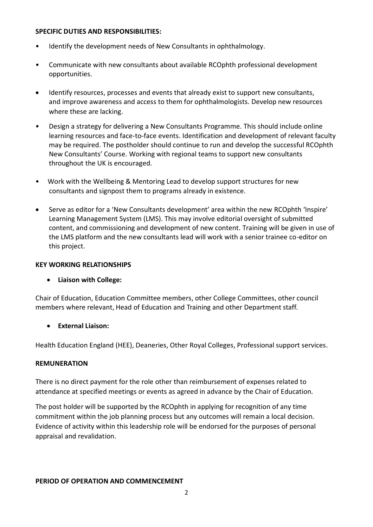#### **SPECIFIC DUTIES AND RESPONSIBILITIES:**

- Identify the development needs of New Consultants in ophthalmology.
- Communicate with new consultants about available RCOphth professional development opportunities.
- Identify resources, processes and events that already exist to support new consultants, and improve awareness and access to them for ophthalmologists. Develop new resources where these are lacking.
- Design a strategy for delivering a New Consultants Programme. This should include online learning resources and face-to-face events. Identification and development of relevant faculty may be required. The postholder should continue to run and develop the successful RCOphth New Consultants' Course. Working with regional teams to support new consultants throughout the UK is encouraged.
- Work with the Wellbeing & Mentoring Lead to develop support structures for new consultants and signpost them to programs already in existence.
- Serve as editor for a 'New Consultants development' area within the new RCOphth 'Inspire' Learning Management System (LMS). This may involve editorial oversight of submitted content, and commissioning and development of new content. Training will be given in use of the LMS platform and the new consultants lead will work with a senior trainee co-editor on this project.

#### **KEY WORKING RELATIONSHIPS**

#### • **Liaison with College:**

Chair of Education, Education Committee members, other College Committees, other council members where relevant, Head of Education and Training and other Department staff.

#### • **External Liaison:**

Health Education England (HEE), Deaneries, Other Royal Colleges, Professional support services.

#### **REMUNERATION**

There is no direct payment for the role other than reimbursement of expenses related to attendance at specified meetings or events as agreed in advance by the Chair of Education.

The post holder will be supported by the RCOphth in applying for recognition of any time commitment within the job planning process but any outcomes will remain a local decision. Evidence of activity within this leadership role will be endorsed for the purposes of personal appraisal and revalidation.

#### **PERIOD OF OPERATION AND COMMENCEMENT**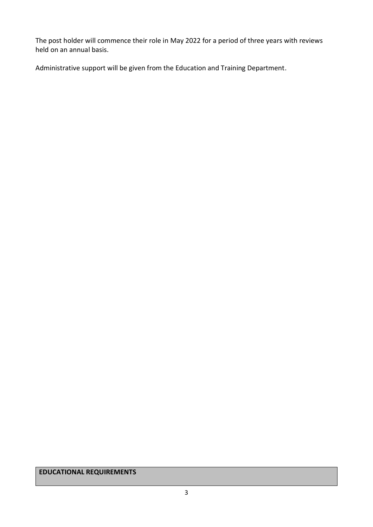The post holder will commence their role in May 2022 for a period of three years with reviews held on an annual basis.

Administrative support will be given from the Education and Training Department.

**EDUCATIONAL REQUIREMENTS**